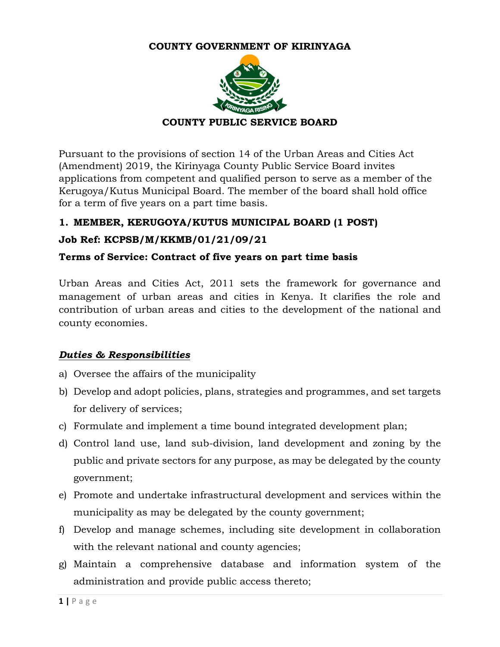#### **COUNTY GOVERNMENT OF KIRINYAGA**



Pursuant to the provisions of section 14 of the Urban Areas and Cities Act (Amendment) 2019, the Kirinyaga County Public Service Board invites applications from competent and qualified person to serve as a member of the Kerugoya/Kutus Municipal Board. The member of the board shall hold office for a term of five years on a part time basis.

# **1. MEMBER, KERUGOYA/KUTUS MUNICIPAL BOARD (1 POST)**

# **Job Ref: KCPSB/M/KKMB/01/21/09/21**

#### **Terms of Service: Contract of five years on part time basis**

Urban Areas and Cities Act, 2011 sets the framework for governance and management of urban areas and cities in Kenya. It clarifies the role and contribution of urban areas and cities to the development of the national and county economies.

#### *Duties & Responsibilities*

- a) Oversee the affairs of the municipality
- b) Develop and adopt policies, plans, strategies and programmes, and set targets for delivery of services;
- c) Formulate and implement a time bound integrated development plan;
- d) Control land use, land sub-division, land development and zoning by the public and private sectors for any purpose, as may be delegated by the county government;
- e) Promote and undertake infrastructural development and services within the municipality as may be delegated by the county government;
- f) Develop and manage schemes, including site development in collaboration with the relevant national and county agencies;
- g) Maintain a comprehensive database and information system of the administration and provide public access thereto;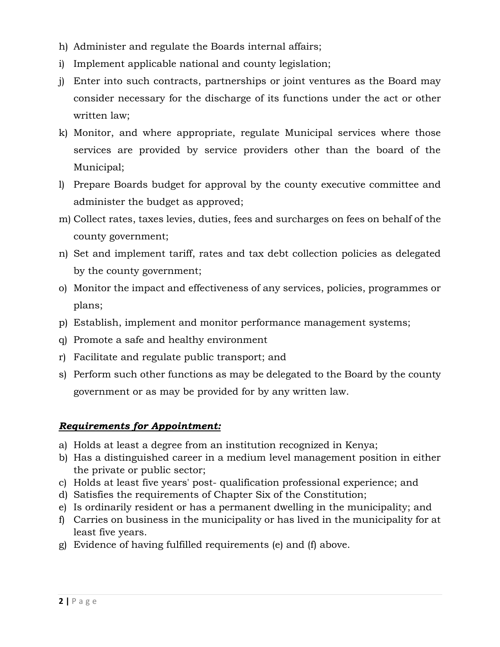- h) Administer and regulate the Boards internal affairs;
- i) Implement applicable national and county legislation;
- j) Enter into such contracts, partnerships or joint ventures as the Board may consider necessary for the discharge of its functions under the act or other written law;
- k) Monitor, and where appropriate, regulate Municipal services where those services are provided by service providers other than the board of the Municipal;
- l) Prepare Boards budget for approval by the county executive committee and administer the budget as approved;
- m) Collect rates, taxes levies, duties, fees and surcharges on fees on behalf of the county government;
- n) Set and implement tariff, rates and tax debt collection policies as delegated by the county government;
- o) Monitor the impact and effectiveness of any services, policies, programmes or plans;
- p) Establish, implement and monitor performance management systems;
- q) Promote a safe and healthy environment
- r) Facilitate and regulate public transport; and
- s) Perform such other functions as may be delegated to the Board by the county government or as may be provided for by any written law.

#### *Requirements for Appointment:*

- a) Holds at least a degree from an institution recognized in Kenya;
- b) Has a distinguished career in a medium level management position in either the private or public sector;
- c) Holds at least five years' post- qualification professional experience; and
- d) Satisfies the requirements of Chapter Six of the Constitution;
- e) Is ordinarily resident or has a permanent dwelling in the municipality; and
- f) Carries on business in the municipality or has lived in the municipality for at least five years.
- g) Evidence of having fulfilled requirements (e) and (f) above.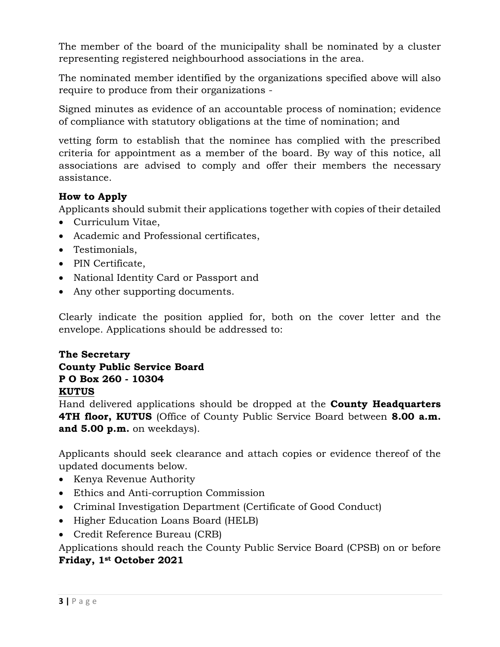The member of the board of the municipality shall be nominated by a cluster representing registered neighbourhood associations in the area.

The nominated member identified by the organizations specified above will also require to produce from their organizations -

Signed minutes as evidence of an accountable process of nomination; evidence of compliance with statutory obligations at the time of nomination; and

vetting form to establish that the nominee has complied with the prescribed criteria for appointment as a member of the board. By way of this notice, all associations are advised to comply and offer their members the necessary assistance.

# **How to Apply**

Applicants should submit their applications together with copies of their detailed

- Curriculum Vitae.
- Academic and Professional certificates,
- Testimonials,
- PIN Certificate,
- National Identity Card or Passport and
- Any other supporting documents.

Clearly indicate the position applied for, both on the cover letter and the envelope. Applications should be addressed to:

### **The Secretary County Public Service Board P O Box 260 - 10304 KUTUS**

Hand delivered applications should be dropped at the **County Headquarters 4TH floor, KUTUS** (Office of County Public Service Board between **8.00 a.m. and 5.00 p.m.** on weekdays).

Applicants should seek clearance and attach copies or evidence thereof of the updated documents below.

- Kenya Revenue Authority
- Ethics and Anti-corruption Commission
- Criminal Investigation Department (Certificate of Good Conduct)
- Higher Education Loans Board (HELB)
- Credit Reference Bureau (CRB)

Applications should reach the County Public Service Board (CPSB) on or before **Friday, 1st October 2021**